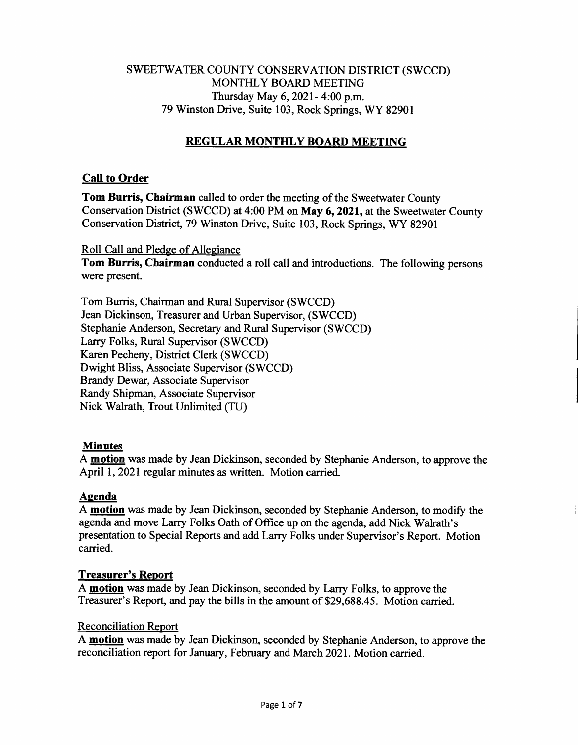# SWEETWATER COUNTY CONSERVATION DISTRICT (SWCCD) MONTHLY BOARD MEETING Thursday May 6, 2021- 4:00 p.m. 79 Winston Drive, Suite 103, Rock Springs, WY 82901

# **REGULAR MONTHLY BOARD MEETING**

# **Call to Order**

**Tom Burris, Chairman** called to order the meeting of the Sweetwater County Conservation District (SWCCD) at 4:00 PM on **May 6, 2021,** at the Sweetwater County Conservation District, 79 Winston Drive, Suite 103, Rock Springs, WY 82901

Roll Call and Pledge of Allegiance

**Tom Burris, Chairman** conducted a roll call and introductions. The following persons were present.

Tom Burris, Chairman and Rural Supervisor (SWCCD) Jean Dickinson, Treasurer and Urban Supervisor, (SWCCD) Stephanie Anderson, Secretary and Rural Supervisor (SWCCD) Larry Folks, Rural Supervisor (SWCCD) Karen Pecheny, District Clerk (SWCCD) Dwight Bliss, Associate Supervisor (SWCCD) Brandy Dewar, Associate Supervisor Randy Shipman, Associate Supervisor Nick Walrath, Trout Unlimited (TU)

### **Minutes**

A **motion** was made by Jean Dickinson, seconded by Stephanie Anderson, to approve the April 1, 2021 regular minutes as written. Motion carried.

# **Agenda**

A **motion** was made by Jean Dickinson, seconded by Stephanie Anderson, to modify the agenda and move Larry Folks Oath of Office up on the agenda, add Nick Walrath's presentation to Special Reports and add Larry Folks under Supervisor's Report. Motion carried.

### **Treasurer's Report**

A **motion** was made by Jean Dickinson, seconded by Larry Folks, to approve the Treasurer's Report, and pay the bills in the amount of \$29,688.45. Motion carried.

### Reconciliation Report

A **motion** was made by Jean Dickinson, seconded by Stephanie Anderson, to approve the reconciliation report for January, February and March 2021. Motion carried.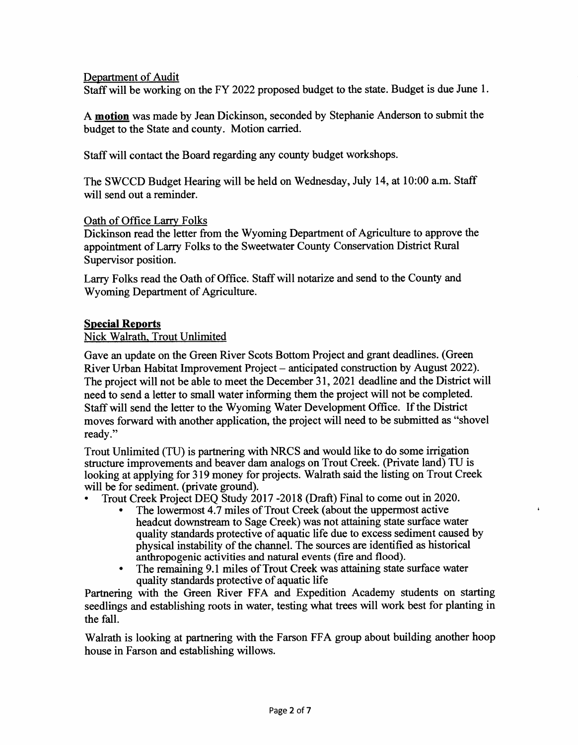## **Department of Audit**

**Staff will be working on the FY 2022 proposed budget to the state. Budget is due June 1.** 

**A motion was made by Jean Dickinson, seconded by Stephanie Anderson to submit the budget to the State and county. Motion carried.** 

**Staff will contact the Board regarding any county budget workshops.** 

**The SWCCD Budget Hearing will be held on Wednesday, July 14, at 10:00 a.m. Staff will send out a reminder.** 

### **Oath of Office Larry Folks**

**Dickinson read the letter from the Wyoming Department of Agriculture to approve the appointment of Larry Folks to the Sweetwater County Conservation District Rural Supervisor position.** 

**Larry Folks read the Oath of Office. Staff will notarize and send to the County and Wyoming Department of Agriculture.** 

## **Special Reports**

## **Nick Walrath, Trout Unlimited**

**Gave an update on the Green River Scots Bottom Project and grant deadlines. (Green River Urban Habitat Improvement Project — anticipated construction by August 2022). The project will not be able to meet the December 31, 2021 deadline and the District will need to send a letter to small water informing them the project will not be completed. Staff will send the letter to the Wyoming Water Development Office. If the District moves forward with another application, the project will need to be submitted as "shovel**  ready."

**Trout Unlimited (TU) is partnering with NRCS and would like to do some irrigation structure improvements and beaver dam analogs on Trout Creek. (Private land) TU is looking at applying for 319 money for projects. Walrath said the listing on Trout Creek will be for sediment. (private ground).** 

- **Trout Creek Project DEQ Study 2017 -2018 (Draft) Final to come out in 2020.** 
	- **The lowermost 4.7 miles of Trout Creek (about the uppermost active headcut downstream to Sage Creek) was not attaining state surface water quality standards protective of aquatic life due to excess sediment caused by physical instability of the channel. The sources are identified as historical anthropogenic activities and natural events (fire and flood).**

 $\ddot{\phantom{a}}$ 

**• The remaining 9.1 miles of Trout Creek was attaining state surface water quality standards protective of aquatic life** 

**Partnering with the Green River FFA and Expedition Academy students on starting seedlings and establishing roots in water, testing what trees will work best for planting in the fall.** 

**Walrath is looking at partnering with the Farson FFA group about building another hoop house in Farson and establishing willows.**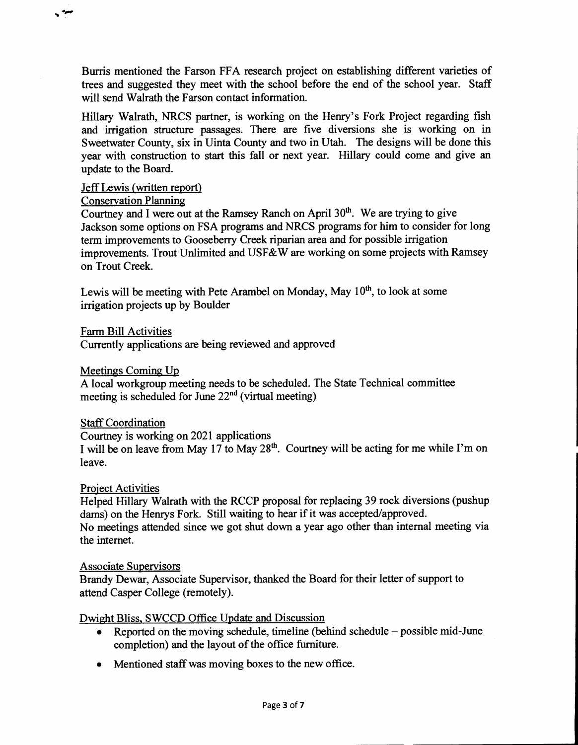**Burris mentioned the Farson FFA research project on establishing different varieties of trees and suggested they meet with the school before the end of the school year. Staff will send Walrath the Farson contact information.** 

**Hillary Walrath, NRCS partner, is working on the Henry's Fork Project regarding fish and irrigation structure passages. There are five diversions she is working on in Sweetwater County, six in Uinta County and two in Utah. The designs will be done this year with construction to start this fall or next year. Hillary could come and give** *an*  **update to the Board.** 

#### **Jeff Lewis (written report)**

#### **Conservation Planning**

 $\ddot{\phantom{a}}$ 

Courtney and I were out at the Ramsey Ranch on April 30<sup>th</sup>. We are trying to give **Jackson some options on FSA programs and NRCS programs for him to consider for long term improvements to Gooseberry Creek riparian area and for possible irrigation improvements. Trout Unlimited and USF&W are working on some projects with Ramsey on Trout Creek.** 

Lewis will be meeting with Pete Arambel on Monday, May 10<sup>th</sup>, to look at some **irrigation projects up by Boulder** 

**Farm Bill Activities** 

**Currently applications are being reviewed and approved** 

**Meetings Coming Up** 

**A local workgroup meeting needs to be scheduled. The State Technical committee**  meeting is scheduled for June 22<sup>nd</sup> (virtual meeting)

### **Staff Coordination**

**Courtney is working on 2021 applications** 

I will be on leave from May 17 to May 28<sup>th</sup>. Courtney will be acting for me while I'm on **leave.** 

### **Project Activities**

**Helped Hillary Walrath with the RCCP proposal for replacing 39 rock diversions (pushup dams) on the Henrys Fork. Still waiting to hear if it was accepted/approved. No meetings attended since we got shut down a year ago other than internal meeting via the internet.** 

#### **Associate Supervisors**

**Brandy Dewar, Associate Supervisor, thanked the Board for their letter of support to attend Casper College (remotely).** 

#### **Dwight Bliss, SWCCD Office Update and Discussion**

- **Reported on the moving schedule, timeline (behind schedule possible mid-June completion) and the layout of the office furniture.**
- **Mentioned staff was moving boxes to the new office.**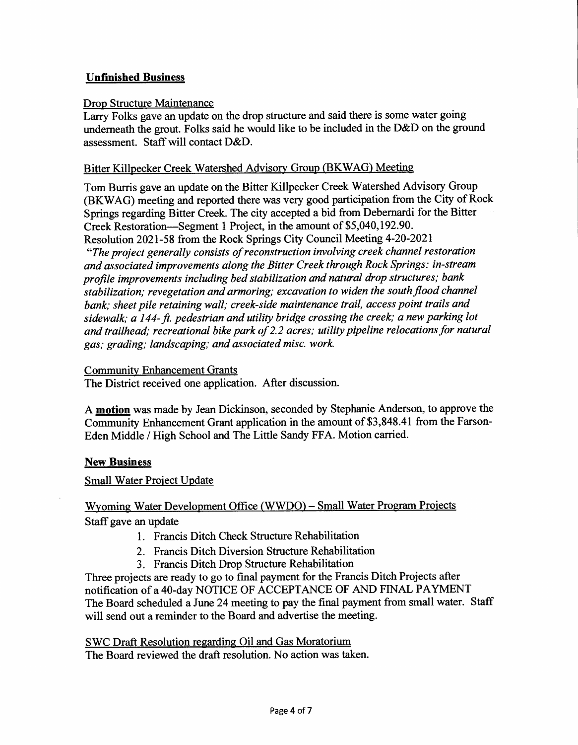# **Unfinished Business**

#### **Drop Structure Maintenance**

**Larry Folks gave an update on the drop structure and said there is some water going underneath the grout. Folks said he would like to be included in the D&D on the ground assessment. Staff will contact D&D.** 

#### **Bitter Killpecker Creek Watershed Advisory Group (BKWAG) Meeting**

**Tom Burris gave an update on the Bitter Killpecker Creek Watershed Advisory Group (BKWAG) meeting and reported there was very good participation from the City of Rock Springs regarding Bitter Creek. The city accepted a bid from Debernardi for the Bitter Creek Restoration—Segment 1 Project, in the amount of \$5,040,192.90.** 

**Resolution 2021-58 from the Rock Springs City Council Meeting 4-20-2021**  *"The project generally consists of reconstruction involving creek channel restoration and associated improvements along the Bitter Creek through Rock Springs: in-stream profile improvements including bed stabilization and natural drop structures; bank stabilization; revegetation and armoring; excavation to widen the south flood channel bank; sheet pile retaining wall; creek-side maintenance trail, access point trails and sidewalk; a 144- ft. pedestrian and utility bridge crossing the creek; a new parking lot and trailhead; recreational bike park of 2.2 acres; utility pipeline relocations for natural gas; grading; landscaping; and associated misc. work* 

#### **Community Enhancement Grants**

**The District received one application. After discussion.** 

**A motion was made by Jean Dickinson, seconded by Stephanie Anderson, to approve the Community Enhancement Grant application in the amount of \$3,848.41 from the Farson-Eden Middle / High School and The Little Sandy FFA. Motion carried.** 

### **New Business**

**Small Water Project Update** 

# **Wyoming Water Development Office (WWDO) — Small Water Program Projects Staff gave an update**

- **1. Francis Ditch Check Structure Rehabilitation**
- **2. Francis Ditch Diversion Structure Rehabilitation**
- **3. Francis Ditch Drop Structure Rehabilitation**

**Three projects are ready to go to final payment for the Francis Ditch Projects after notification of a 40-day NOTICE OF ACCEPTANCE OF AND FINAL PAYMENT The Board scheduled a June 24 meeting to pay the final payment from small water. Staff will send out a reminder to the Board and advertise the meeting.** 

**SWC Draft Resolution regarding Oil and Gas Moratorium The Board reviewed the draft resolution. No action was taken.**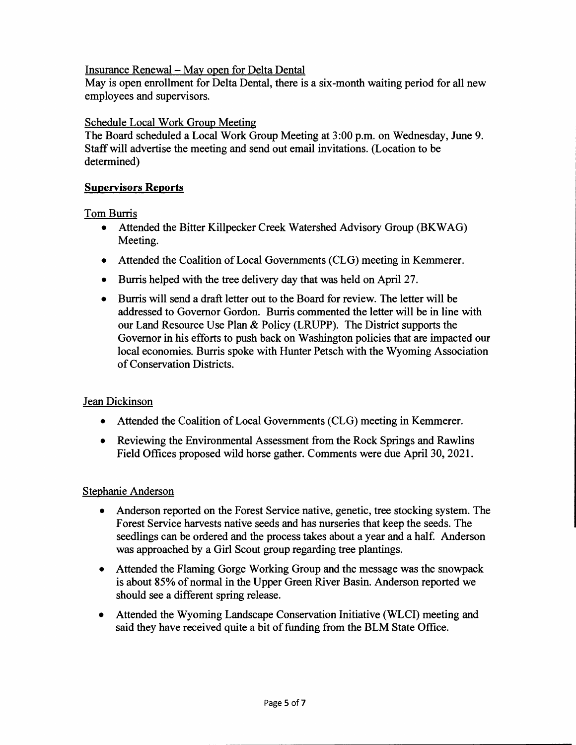# Insurance Renewal — May open for Delta Dental

May is open enrollment for Delta Dental, there is a six-month waiting period for all new employees and supervisors.

### Schedule Local Work Group Meeting

The Board scheduled a Local Work Group Meeting at 3:00 p.m. on Wednesday, June 9. Staff will advertise the meeting and send out email invitations. (Location to be determined)

### **Supervisors Reports**

# **Tom Burris**

- **Attended the Bitter Killpecker Creek Watershed** Advisory Group (BKWAG) Meeting.
- Attended the Coalition of Local Governments (CLG) meeting in Kemmerer.
- Burris helped with the tree delivery day that was held on April 27.
- Burris will send a draft letter out to the Board for review. The letter will be addressed to Governor Gordon. Burris commented the letter will be in line with our Land Resource Use Plan & Policy (LRUPP). The District supports the Governor in his efforts to push back on Washington policies that are impacted our local economies. Burris spoke with Hunter Petsch with the Wyoming Association of Conservation Districts.

# Jean Dickinson

- Attended the Coalition of Local Governments (CLG) meeting in Kemmerer.
- Reviewing the Environmental Assessment from the Rock Springs and Rawlins Field Offices proposed wild horse gather. Comments were due April 30, 2021.

### Stephanie Anderson

- Anderson reported on the Forest Service native, genetic, tree stocking system. The Forest Service harvests native seeds and has nurseries that keep the seeds. The seedlings can be ordered and the process takes about a year and a half. Anderson was approached by a Girl Scout group regarding tree plantings.
- Attended the Flaming Gorge Working Group and the message was the snowpack is about 85% of normal in the Upper Green River Basin. Anderson reported we should see a different spring release.
- Attended the Wyoming Landscape Conservation Initiative (WLCI) meeting and said they have received quite a bit of funding from the BLM State Office.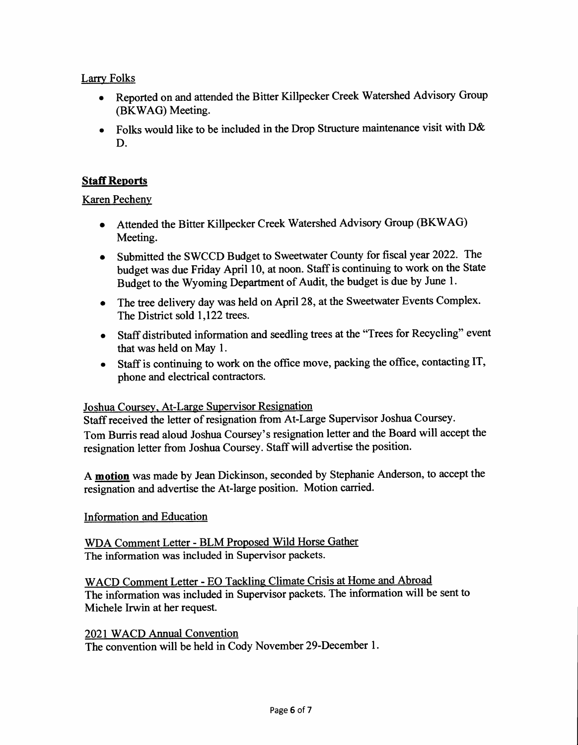# **Larry Folks**

- **Reported on and attended the Bitter Killpecker Creek Watershed Advisory Group (BKWAG) Meeting.**
- **Folks would like to be included in the Drop Structure maintenance visit with D& D.**

# **Staff Reports**

# **Karen Pecheny**

- **Attended the Bitter Killpecker Creek Watershed Advisory Group (BKWAG) Meeting.**
- **Submitted the SWCCD Budget to Sweetwater County for fiscal year 2022. The budget was due Friday April 10, at noon. Staff is continuing to work on the State Budget to the Wyoming Department of Audit, the budget is due by June 1.**
- **The tree delivery day was held on April 28, at the Sweetwater Events Complex. The District sold 1,122 trees.**
- **Staff distributed information and seedling trees at the "Trees for Recycling" event that was held on May 1.**
- **Staff is continuing to work on the office move, packing the office, contacting IT, phone and electrical contractors.**

# **Joshua Coursey, At-Large Supervisor Resignation**

**Staff received the letter of resignation from At-Large Supervisor Joshua Coursey. Tom Burris read aloud Joshua Coursey's resignation letter and the Board will accept the resignation letter from Joshua Coursey. Staff will advertise the position.** 

**A motion was made by Jean Dickinson, seconded by Stephanie Anderson, to accept the resignation and advertise the At-large position. Motion carried.** 

# **Information and Education**

**WDA Comment Letter - BLM Proposed Wild Horse Gather The information was included in Supervisor packets.** 

**WACD Comment Letter - EO Tackling Climate Crisis at Home and Abroad The information was included in Supervisor packets. The information will be sent to Michele Irwin at her request.** 

**2021 WACD Annual Convention The convention will be held in Cody November 29-December 1.**